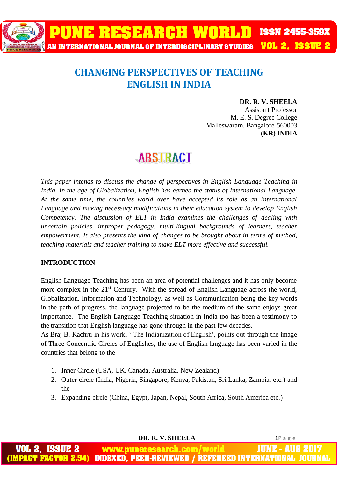

### **CHANGING PERSPECTIVES OF TEACHING ENGLISH IN INDIA**

#### **DR. R. V. SHEELA**

Assistant Professor M. E. S. Degree College Malleswaram, Bangalore-560003 **(KR) INDIA**

## **ABSTRACT**

*This paper intends to discuss the change of perspectives in English Language Teaching in India. In the age of Globalization, English has earned the status of International Language. At the same time, the countries world over have accepted its role as an International Language and making necessary modifications in their education system to develop English Competency. The discussion of ELT in India examines the challenges of dealing with uncertain policies, improper pedagogy, multi-lingual backgrounds of learners, teacher empowerment. It also presents the kind of changes to be brought about in terms of method, teaching materials and teacher training to make ELT more effective and successful.*

#### **INTRODUCTION**

English Language Teaching has been an area of potential challenges and it has only become more complex in the 21<sup>st</sup> Century. With the spread of English Language across the world, Globalization, Information and Technology, as well as Communication being the key words in the path of progress, the language projected to be the medium of the same enjoys great importance. The English Language Teaching situation in India too has been a testimony to the transition that English language has gone through in the past few decades.

As Braj B. Kachru in his work, ' The Indianization of English', points out through the image of Three Concentric Circles of Englishes, the use of English language has been varied in the countries that belong to the

- 1. Inner Circle (USA, UK, Canada, Australia, New Zealand)
- 2. Outer circle (India, Nigeria, Singapore, Kenya, Pakistan, Sri Lanka, Zambia, etc.) and the
- 3. Expanding circle (China, Egypt, Japan, Nepal, South Africa, South America etc.)

 **DR. R. V. SHEELA** 1P a g e

www.puneresearch.com/world **INDEXED. PEER-REVIEWED / REFEREED INTERNA**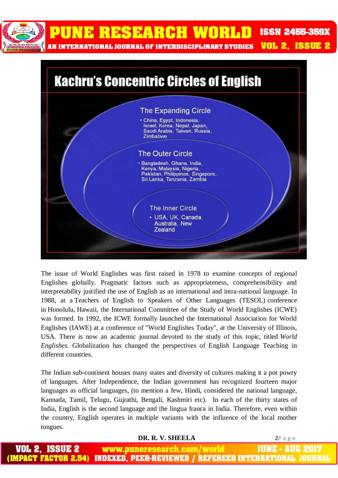

PUNE RESEARCH WORLD **ISSN 2455-359X** 

AN INTERNATIONAL JOURNAL OF INTERDISCIPLINARY STUDIES

**VOL 2. ISSUE 2** 



The issue of World Englishes was first raised in 1978 to examine concepts of regional Englishes globally. Pragmatic factors such as appropriateness, comprehensibility and interpretability justified the use of English as an international and intra-national language. In 1988, at a Teachers of English to Speakers of Other Languages (TESOL) conference in Honolulu, Hawaii, the International Committee of the Study of World Englishes (ICWE) was formed. In 1992, the ICWE formally launched the International Association for World Englishes (IAWE) at a conference of "World Englishes Today", at the University of Illinois, USA. There is now an academic journal devoted to the study of this topic, titled *World Englishes.* Globalization has changed the perspectives of English Language Teaching in different countries*.*

The Indian sub-continent houses many states and diversity of cultures making it a pot powry of languages. After Independence, the Indian government has recognized fourteen major languages as official languages, (to mention a few, Hindi, considered the national language, Kannada, Tamil, Telugu, Gujrathi, Bengali, Kashmiri etc). In each of the thirty states of India, English is the second language and the lingua franca in India. Therefore, even within the country, English operates in multiple variants with the influence of the local mother tongues.

#### **DR. R. V. SHEELA** 2P a g e

VOL 2. IUNE AUG 2017 **ISSUE 2** www.puneresearch.com/world **IMPACT FACTOR 2.54)** INDEXED. PEER-REVIEWED / REFEREED INTERNATIONAL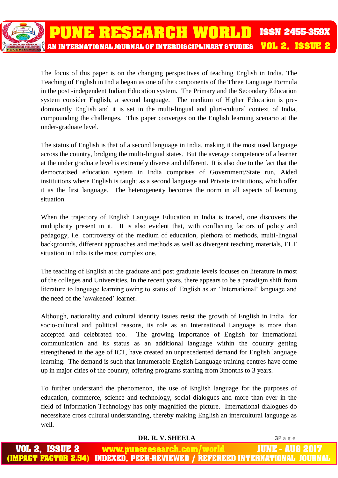The focus of this paper is on the changing perspectives of teaching English in India. The Teaching of English in India began as one of the components of the Three Language Formula in the post -independent Indian Education system. The Primary and the Secondary Education system consider English, a second language. The medium of Higher Education is predominantly English and it is set in the multi-lingual and pluri-cultural context of India, compounding the challenges. This paper converges on the English learning scenario at the under-graduate level.

The status of English is that of a second language in India, making it the most used language across the country, bridging the multi-lingual states. But the average competence of a learner at the under graduate level is extremely diverse and different. It is also due to the fact that the democratized education system in India comprises of Government/State run, Aided institutions where English is taught as a second language and Private institutions, which offer it as the first language. The heterogeneity becomes the norm in all aspects of learning situation.

When the trajectory of English Language Education in India is traced, one discovers the multiplicity present in it. It is also evident that, with conflicting factors of policy and pedagogy, i.e. controversy of the medium of education, plethora of methods, multi-lingual backgrounds, different approaches and methods as well as divergent teaching materials, ELT situation in India is the most complex one.

The teaching of English at the graduate and post graduate levels focuses on literature in most of the colleges and Universities. In the recent years, there appears to be a paradigm shift from literature to language learning owing to status of English as an 'International' language and the need of the 'awakened' learner.

Although, nationality and cultural identity issues resist the growth of English in India for socio-cultural and political reasons, its role as an International Language is more than accepted and celebrated too. The growing importance of English for international communication and its status as an additional language within the country getting strengthened in the age of ICT, have created an unprecedented demand for English language learning. The demand is such that innumerable English Language training centres have come up in major cities of the country, offering programs starting from 3months to 3 years.

To further understand the phenomenon, the use of English language for the purposes of education, commerce, science and technology, social dialogues and more than ever in the field of Information Technology has only magnified the picture. International dialogues do necessitate cross cultural understanding, thereby making English an intercultural language as well.

|                | DR. R. V. SHEELA                                                             | 3Page |
|----------------|------------------------------------------------------------------------------|-------|
| VOL 2, ISSUE 2 | www.puneresearch.com/world JUNE - AUG 2017                                   |       |
|                | (IMPACT FACTOR 2.54) INDEXED, PEER-REVIEWED / REFEREED INTERNATIONAL JOURNAL |       |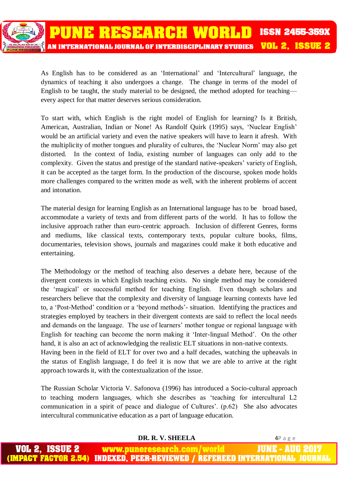

As English has to be considered as an 'International' and 'Intercultural' language, the dynamics of teaching it also undergoes a change. The change in terms of the model of English to be taught, the study material to be designed, the method adopted for teaching every aspect for that matter deserves serious consideration.

To start with, which English is the right model of English for learning? Is it British, American, Australian, Indian or None! As Randolf Quirk (1995) says, 'Nuclear English' would be an artificial variety and even the native speakers will have to learn it afresh. With the multiplicity of mother tongues and plurality of cultures, the 'Nuclear Norm' may also get distorted. In the context of India, existing number of languages can only add to the complexity. Given the status and prestige of the standard native-speakers' variety of English, it can be accepted as the target form. In the production of the discourse, spoken mode holds more challenges compared to the written mode as well, with the inherent problems of accent and intonation.

The material design for learning English as an International language has to be broad based, accommodate a variety of texts and from different parts of the world. It has to follow the inclusive approach rather than euro-centric approach. Inclusion of different Genres, forms and mediums, like classical texts, contemporary texts, popular culture books, films, documentaries, television shows, journals and magazines could make it both educative and entertaining.

The Methodology or the method of teaching also deserves a debate here, because of the divergent contexts in which English teaching exists. No single method may be considered the 'magical' or successful method for teaching English. Even though scholars and researchers believe that the complexity and diversity of language learning contexts have led to, a 'Post-Method' condition or a 'beyond methods'- situation. Identifying the practices and strategies employed by teachers in their divergent contexts are said to reflect the local needs and demands on the language. The use of learners' mother tongue or regional language with English for teaching can become the norm making it 'Inter-lingual Method'. On the other hand, it is also an act of acknowledging the realistic ELT situations in non-native contexts. Having been in the field of ELT for over two and a half decades, watching the upheavals in the status of English language, I do feel it is now that we are able to arrive at the right approach towards it, with the contextualization of the issue.

The Russian Scholar Victoria V. Safonova (1996) has introduced a Socio-cultural approach to teaching modern languages, which she describes as 'teaching for intercultural L2 communication in a spirit of peace and dialogue of Cultures'. (p.62) She also advocates intercultural communicative education as a part of language education.

| DR. R. V. SHEELA                                                             | 4Page |
|------------------------------------------------------------------------------|-------|
| <b>VOL 2, ISSUE 2 www.puneresearch.com/world JUNE - AUG 2017</b>             |       |
| (IMPACT FACTOR 2.54) INDEXED, PEER-REVIEWED / REFEREED INTERNATIONAL JOURNAL |       |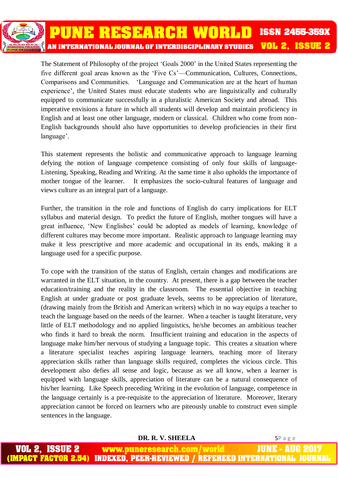The Statement of Philosophy of the project 'Goals 2000' in the United States representing the five different goal areas known as the 'Five Cs'—Communication, Cultures, Connections, Comparisons and Communities. 'Language and Communication are at the heart of human experience', the United States must educate students who are linguistically and culturally equipped to communicate successfully in a pluralistic American Society and abroad. This imperative envisions a future in which all students will develop and maintain proficiency in English and at least one other language, modern or classical. Children who come from non-English backgrounds should also have opportunities to develop proficiencies in their first language'.

This statement represents the holistic and communicative approach to language learning defying the notion of language competence consisting of only four skills of language-Listening, Speaking, Reading and Writing. At the same time it also upholds the importance of mother tongue of the learner. It emphasizes the socio-cultural features of language and views culture as an integral part of a language.

Further, the transition in the role and functions of English do carry implications for ELT syllabus and material design. To predict the future of English, mother tongues will have a great influence, 'New Englishes' could be adopted as models of learning, knowledge of different cultures may become more important. Realistic approach to language learning may make it less prescriptive and more academic and occupational in its ends, making it a language used for a specific purpose.

To cope with the transition of the status of English, certain changes and modifications are warranted in the ELT situation, in the country. At present, there is a gap between the teacher education/training and the reality in the classroom. The essential objective in teaching English at under graduate or post graduate levels, seems to be appreciation of literature, (drawing mainly from the British and American writers) which in no way equips a teacher to teach the language based on the needs of the learner. When a teacher is taught literature, very little of ELT methodology and no applied linguistics, he/she becomes an ambitious teacher who finds it hard to break the norm. Insufficient training and education in the aspects of language make him/her nervous of studying a language topic. This creates a situation where a literature specialist teaches aspiring language learners, teaching more of literary appreciation skills rather than language skills required, completes the vicious circle. This development also defies all sense and logic, because as we all know, when a learner is equipped with language skills, appreciation of literature can be a natural consequence of his/her learning. Like Speech preceding Writing in the evolution of language, competence in the language certainly is a pre-requisite to the appreciation of literature. Moreover, literary appreciation cannot be forced on learners who are piteously unable to construct even simple sentences in the language.

 **DR. R. V. SHEELA** 5P a g e